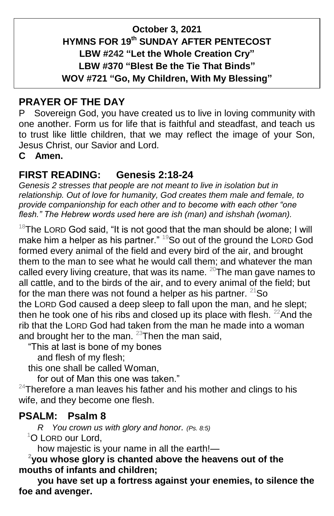## **October 3, 2021 HYMNS FOR 19 th SUNDAY AFTER PENTECOST LBW #242 "Let the Whole Creation Cry" LBW #370 "Blest Be the Tie That Binds" WOV #721 "Go, My Children, With My Blessing"**

# **PRAYER OF THE DAY**

P Sovereign God, you have created us to live in loving community with one another. Form us for life that is faithful and steadfast, and teach us to trust like little children, that we may reflect the image of your Son, Jesus Christ, our Savior and Lord.

**C Amen.**

# **FIRST READING: Genesis 2:18-24**

*Genesis 2 stresses that people are not meant to live in isolation but in relationship. Out of love for humanity, God creates them male and female, to provide companionship for each other and to become with each other "one flesh." The Hebrew words used here are ish (man) and ishshah (woman).*

 $18$ The LORD God said, "It is not good that the man should be alone; I will make him a helper as his partner."  $19$ So out of the ground the LORD God formed every animal of the field and every bird of the air, and brought them to the man to see what he would call them; and whatever the man called every living creature, that was its name.  $20$ The man gave names to all cattle, and to the birds of the air, and to every animal of the field; but for the man there was not found a helper as his partner.  $21$ So the LORD God caused a deep sleep to fall upon the man, and he slept; then he took one of his ribs and closed up its place with flesh.  $22$ And the rib that the LORD God had taken from the man he made into a woman and brought her to the man.  $^{23}$ Then the man said,

"This at last is bone of my bones

and flesh of my flesh;

this one shall be called Woman,

for out of Man this one was taken."

 $24$ Therefore a man leaves his father and his mother and clings to his wife, and they become one flesh.

## **PSALM: Psalm 8**

 *R You crown us with glory and honor. (Ps. 8:5)* <sup>1</sup>O LORD our Lord,

how majestic is your name in all the earth!— **<sup>2</sup>**

<sup>2</sup>you whose glory is chanted above the heavens out of the **mouths of infants and children;**

**you have set up a fortress against your enemies, to silence the foe and avenger.**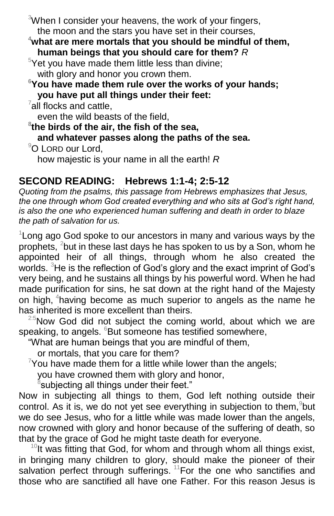$3$ When I consider your heavens, the work of your fingers, the moon and the stars you have set in their courses,

**<sup>4</sup>what are mere mortals that you should be mindful of them, human beings that you should care for them?** *R*

 $5$ Yet you have made them little less than divine; with glory and honor you crown them.

**<sup>6</sup>You have made them rule over the works of your hands; you have put all things under their feet:**

 $7$ all flocks and cattle,

even the wild beasts of the field,

**8 the birds of the air, the fish of the sea,**

**and whatever passes along the paths of the sea.**

<sup>9</sup>O LORD our Lord.

how majestic is your name in all the earth! *R*

# **SECOND READING: Hebrews 1:1-4; 2:5-12**

*Quoting from the psalms, this passage from Hebrews emphasizes that Jesus, the one through whom God created everything and who sits at God's right hand, is also the one who experienced human suffering and death in order to blaze the path of salvation for us.*

 $1$ Long ago God spoke to our ancestors in many and various ways by the prophets, <sup>2</sup>but in these last days he has spoken to us by a Son, whom he appointed heir of all things, through whom he also created the worlds. <sup>3</sup>He is the reflection of God's glory and the exact imprint of God's very being, and he sustains all things by his powerful word. When he had made purification for sins, he sat down at the right hand of the Majesty on high, <sup>4</sup>having become as much superior to angels as the name he has inherited is more excellent than theirs.

 $2.5$ Now God did not subject the coming world, about which we are speaking, to angels. <sup>6</sup>But someone has testified somewhere,

"What are human beings that you are mindful of them,

or mortals, that you care for them?

 $7$ You have made them for a little while lower than the angels;

you have crowned them with glory and honor,

 ${}^8$ subjecting all things under their feet."

Now in subjecting all things to them, God left nothing outside their control. As it is, we do not yet see everything in subjection to them, but we do see Jesus, who for a little while was made lower than the angels, now crowned with glory and honor because of the suffering of death, so that by the grace of God he might taste death for everyone.

 $10$ It was fitting that God, for whom and through whom all things exist, in bringing many children to glory, should make the pioneer of their salvation perfect through sufferings.  $11$  For the one who sanctifies and those who are sanctified all have one Father. For this reason Jesus is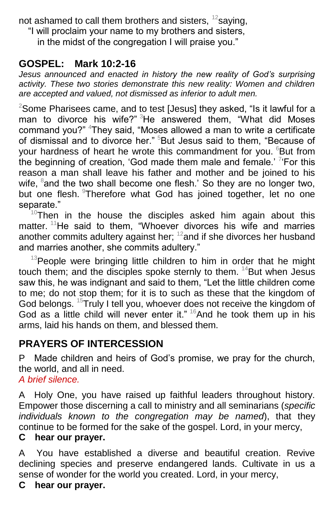not ashamed to call them brothers and sisters,  $^{12}$ saying,

"I will proclaim your name to my brothers and sisters,

in the midst of the congregation I will praise you."

## **GOSPEL: Mark 10:2-16**

*Jesus announced and enacted in history the new reality of God's surprising activity. These two stories demonstrate this new reality: Women and children are accepted and valued, not dismissed as inferior to adult men.*

 $2$ Some Pharisees came, and to test [Jesus] they asked, "Is it lawful for a man to divorce his wife?" <sup>3</sup>He answered them, "What did Moses command you?" <sup>4</sup>They said, "Moses allowed a man to write a certificate of dismissal and to divorce her." <sup>5</sup>But Jesus said to them, "Because of your hardness of heart he wrote this commandment for you. <sup>6</sup>But from the beginning of creation, 'God made them male and female.' <sup>7</sup>'For this reason a man shall leave his father and mother and be joined to his wife,  ${}^8$ and the two shall become one flesh.' So they are no longer two, but one flesh. Therefore what God has joined together, let no one separate."

 $10$ Then in the house the disciples asked him again about this matter. <sup>11</sup>He said to them, "Whoever divorces his wife and marries another commits adultery against her;  $^{12}$ and if she divorces her husband and marries another, she commits adultery."

 $13$ People were bringing little children to him in order that he might touch them; and the disciples spoke sternly to them.  $14$ But when Jesus saw this, he was indignant and said to them, "Let the little children come to me; do not stop them; for it is to such as these that the kingdom of God belongs. <sup>15</sup>Truly I tell you, whoever does not receive the kingdom of God as a little child will never enter it."  $16$  And he took them up in his arms, laid his hands on them, and blessed them.

# **PRAYERS OF INTERCESSION**

P Made children and heirs of God's promise, we pray for the church, the world, and all in need.

*A brief silence.*

A Holy One, you have raised up faithful leaders throughout history. Empower those discerning a call to ministry and all seminarians (*specific individuals known to the congregation may be named*), that they continue to be formed for the sake of the gospel. Lord, in your mercy,

#### **C hear our prayer.**

A You have established a diverse and beautiful creation. Revive declining species and preserve endangered lands. Cultivate in us a sense of wonder for the world you created. Lord, in your mercy,

#### **C hear our prayer.**